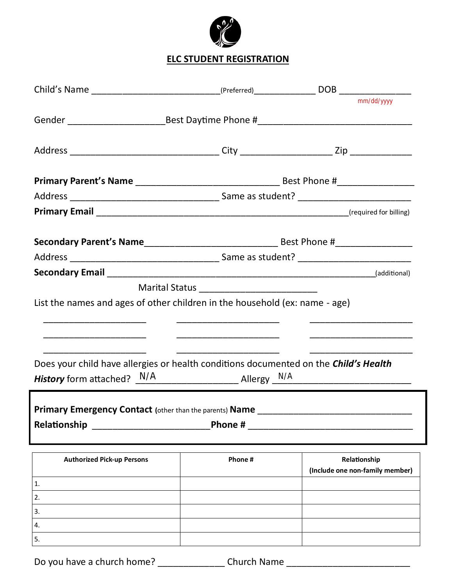

## **ELC STUDENT REGISTRATION**

|                                                                                      |                          | mm/dd/yyyy                      |
|--------------------------------------------------------------------------------------|--------------------------|---------------------------------|
|                                                                                      |                          |                                 |
|                                                                                      |                          |                                 |
|                                                                                      |                          |                                 |
|                                                                                      |                          |                                 |
|                                                                                      |                          |                                 |
|                                                                                      |                          |                                 |
|                                                                                      |                          |                                 |
|                                                                                      |                          |                                 |
|                                                                                      |                          |                                 |
|                                                                                      |                          |                                 |
| List the names and ages of other children in the household (ex: name - age)          |                          |                                 |
|                                                                                      |                          |                                 |
|                                                                                      | ________________________ |                                 |
|                                                                                      |                          |                                 |
| Does your child have allergies or health conditions documented on the Child's Health |                          |                                 |
| <b>History</b> form attached? $\frac{N/A}{A}$ Allergy $\frac{N/A}{A}$                |                          |                                 |
|                                                                                      |                          |                                 |
| Primary Emergency Contact (other than the parents) Name                              |                          |                                 |
| Relationship                                                                         | Phone #                  |                                 |
| <b>Authorized Pick-up Persons</b>                                                    | Phone #                  | Relationship                    |
|                                                                                      |                          | (Include one non-family member) |
| $\mathbf{1}$ .                                                                       |                          |                                 |
| 2.                                                                                   |                          |                                 |
| 3.                                                                                   |                          |                                 |
| 4.                                                                                   |                          |                                 |
| 5.                                                                                   |                          |                                 |

Do you have a church home? \_\_\_\_\_\_\_\_\_\_\_\_\_\_\_\_\_ Church Name \_\_\_\_\_\_\_\_\_\_\_\_\_\_\_\_\_\_\_\_\_\_\_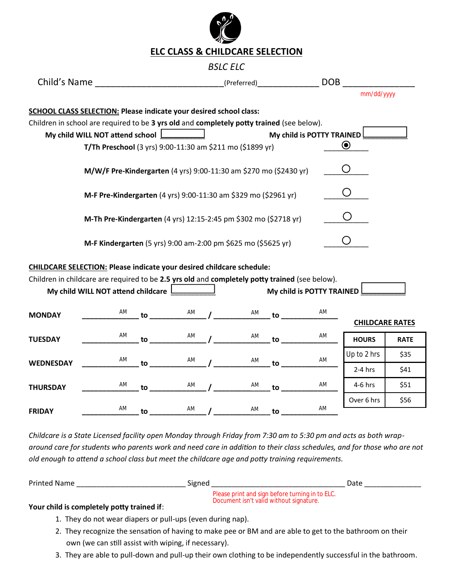

#### *BSLC ELC*

| Child's Name                                                                                                                 | (Preferred) | DOB                       |  |
|------------------------------------------------------------------------------------------------------------------------------|-------------|---------------------------|--|
|                                                                                                                              |             | mm/dd/yyyy                |  |
| SCHOOL CLASS SELECTION: Please indicate your desired school class:                                                           |             |                           |  |
| Children in school are required to be 3 yrs old and completely potty trained (see below).<br>My child WILL NOT attend school |             | My child is POTTY TRAINED |  |
| T/Th Preschool (3 yrs) 9:00-11:30 am \$211 mo (\$1899 yr)                                                                    |             |                           |  |
| M/W/F Pre-Kindergarten (4 yrs) 9:00-11:30 am \$270 mo (\$2430 yr)                                                            |             |                           |  |
| M-F Pre-Kindergarten (4 yrs) 9:00-11:30 am \$329 mo (\$2961 yr)                                                              |             |                           |  |
| M-Th Pre-Kindergarten (4 yrs) 12:15-2:45 pm \$302 mo (\$2718 yr)                                                             |             |                           |  |
| M-F Kindergarten (5 yrs) 9:00 am-2:00 pm \$625 mo (\$5625 yr)                                                                |             |                           |  |

#### **CHILDCARE SELECTION: Please indicate your desired childcare schedule:**

|                  | Children in childcare are required to be 2.5 yrs old and completely potty trained (see below).<br>My child WILL NOT attend childcare |    |    |    |    | My child is POTTY TRAINED L |                        |             |
|------------------|--------------------------------------------------------------------------------------------------------------------------------------|----|----|----|----|-----------------------------|------------------------|-------------|
| <b>MONDAY</b>    | AM                                                                                                                                   | to | AM | AM | to | AM                          | <b>CHILDCARE RATES</b> |             |
| <b>TUESDAY</b>   | AM                                                                                                                                   | to | AM | AM | to | AM                          | <b>HOURS</b>           | <b>RATE</b> |
| <b>WEDNESDAY</b> | AM                                                                                                                                   | to | AM | AM | to | AM                          | Up to 2 hrs            | \$35        |
|                  |                                                                                                                                      |    |    |    |    |                             | $2-4$ hrs              | \$41        |
| <b>THURSDAY</b>  | AM                                                                                                                                   | to | AM | AM | to | AM                          | $4-6$ hrs              | \$51        |
|                  |                                                                                                                                      |    |    |    |    |                             | Over 6 hrs             | \$56        |
| <b>FRIDAY</b>    | AM                                                                                                                                   | to | AM | AM | to | AM                          |                        |             |

*Childcare is a State Licensed facility open Monday through Friday from 7:30 am to 5:30 pm and acts as both wraparound care for students who parents work and need care in addition to their class schedules, and for those who are not old enough to attend a school class but meet the childcare age and potty training requirements.* 

| <b>Printed Name</b> | Signed |                                                                                            | Date |
|---------------------|--------|--------------------------------------------------------------------------------------------|------|
| .<br>$\sim$ $\sim$  |        | Please print and sign before turning in to ELC.<br>Document isn't valid without signature. |      |

#### **Your child is completely potty trained if**:

- 1. They do not wear diapers or pull-ups (even during nap).
- 2. They recognize the sensation of having to make pee or BM and are able to get to the bathroom on their own (we can still assist with wiping, if necessary).
- 3. They are able to pull-down and pull-up their own clothing to be independently successful in the bathroom.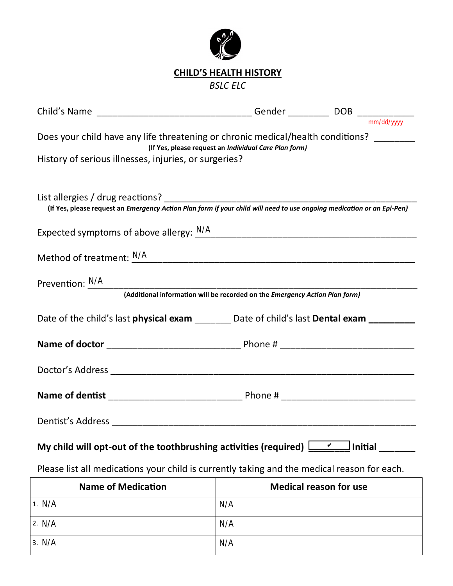

# **CHILD'S HEALTH HISTORY**

*BSLC ELC*

| Child's Name _________________________________Gender _______________DOB _________                                                                |                                          |
|--------------------------------------------------------------------------------------------------------------------------------------------------|------------------------------------------|
|                                                                                                                                                  | $\frac{1}{\text{mm}/\text{dd}/\text{vv}$ |
| Does your child have any life threatening or chronic medical/health conditions? _______<br>(If Yes, please request an Individual Care Plan form) |                                          |
| History of serious illnesses, injuries, or surgeries?                                                                                            |                                          |
|                                                                                                                                                  |                                          |
|                                                                                                                                                  |                                          |
| Expected symptoms of above allergy: $\frac{N/A}{N}$                                                                                              |                                          |
| Method of treatment: $\frac{N/A}{N}$                                                                                                             |                                          |
|                                                                                                                                                  |                                          |
| Prevention: <u>N/A</u><br>(Additional information will be recorded on the Emergency Action Plan form)                                            |                                          |
| Date of the child's last physical exam ________ Date of child's last Dental exam _______                                                         |                                          |
|                                                                                                                                                  |                                          |
|                                                                                                                                                  |                                          |
|                                                                                                                                                  |                                          |
|                                                                                                                                                  |                                          |
| My child will opt-out of the toothbrushing activities (required) $\boxed{\underline{\hspace{1cm}}$ Initial ______                                |                                          |
| Please list all medications your child is currently taking and the medical reason for each.                                                      |                                          |

| <b>Name of Medication</b> | <b>Medical reason for use</b> |
|---------------------------|-------------------------------|
| 1. N/A                    | N/A                           |
| 2. N/A                    | N/A                           |
| 3. N/A                    | N/A                           |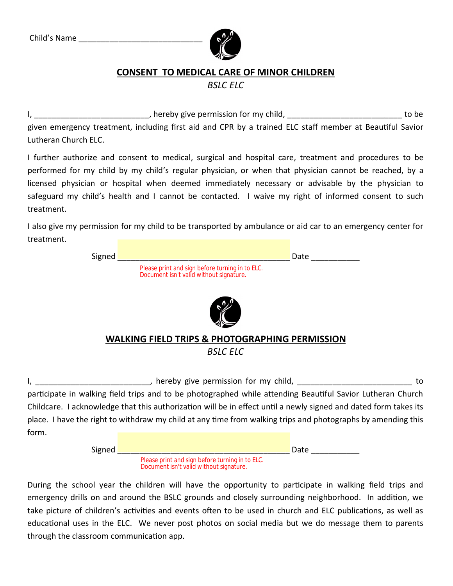

## **CONSENT TO MEDICAL CARE OF MINOR CHILDREN**

*BSLC ELC*

I, thereby give permission for my child, the metal contract to be to be to be to be to be to be to be to be to be to be to be to be to be to be to be to be to be to be to be to be to be to be to be to be to be to be to be given emergency treatment, including first aid and CPR by a trained ELC staff member at Beautiful Savior Lutheran Church ELC.

I further authorize and consent to medical, surgical and hospital care, treatment and procedures to be performed for my child by my child's regular physician, or when that physician cannot be reached, by a licensed physician or hospital when deemed immediately necessary or advisable by the physician to safeguard my child's health and I cannot be contacted. I waive my right of informed consent to such treatment.

I also give my permission for my child to be transported by ambulance or aid car to an emergency center for treatment.

| Signed | Date                                                                                       |
|--------|--------------------------------------------------------------------------------------------|
|        | Please print and sign before turning in to ELC.<br>Document isn't valid without signature. |
|        |                                                                                            |
|        | <b>WALKING FIELD TRIPS &amp; PHOTOGRAPHING PERMISSION</b>                                  |
|        | <b>BSLC ELC</b>                                                                            |

I, \_\_\_\_\_\_\_\_\_\_\_\_\_\_\_\_\_\_\_\_\_\_\_\_\_\_\_, hereby give permission for my child, \_\_\_\_\_\_\_\_\_\_\_\_\_\_\_\_\_\_\_\_\_\_\_\_\_\_\_\_\_\_ to

participate in walking field trips and to be photographed while attending Beautiful Savior Lutheran Church Childcare. I acknowledge that this authorization will be in effect until a newly signed and dated form takes its place. I have the right to withdraw my child at any time from walking trips and photographs by amending this form.

Signed \_\_\_\_\_\_\_\_\_\_\_\_\_\_\_\_\_\_\_\_\_\_\_\_\_\_\_\_\_\_\_\_\_\_\_\_\_\_\_ Date \_\_\_\_\_\_\_\_\_\_\_

Please print and sign before turning in to ELC. Document isn't valid without signature.

During the school year the children will have the opportunity to participate in walking field trips and emergency drills on and around the BSLC grounds and closely surrounding neighborhood. In addition, we take picture of children's activities and events often to be used in church and ELC publications, as well as educational uses in the ELC. We never post photos on social media but we do message them to parents through the classroom communication app.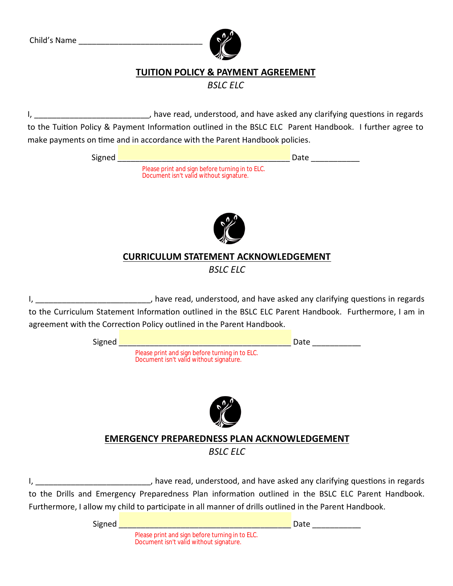

## **TUITION POLICY & PAYMENT AGREEMENT**

*BSLC ELC*

I, thave read, understood, and have asked any clarifying questions in regards to the Tuition Policy & Payment Information outlined in the BSLC ELC Parent Handbook. I further agree to make payments on time and in accordance with the Parent Handbook policies.

| Signed |                                                                                            | Date |  |
|--------|--------------------------------------------------------------------------------------------|------|--|
|        | Please print and sign before turning in to ELC.<br>Document isn't valid without signature. |      |  |
|        |                                                                                            |      |  |



## **CURRICULUM STATEMENT ACKNOWLEDGEMENT** *BSLC ELC*

I, \_\_\_\_\_\_\_\_\_\_\_\_\_\_\_\_\_\_\_\_\_\_\_\_\_\_\_\_, have read, understood, and have asked any clarifying questions in regards to the Curriculum Statement Information outlined in the BSLC ELC Parent Handbook. Furthermore, I am in agreement with the Correction Policy outlined in the Parent Handbook.

| Signed |                                                                                                       | Date |
|--------|-------------------------------------------------------------------------------------------------------|------|
|        | Please print and sign before turning in to ELC.<br>Document isn't valid without signature.            |      |
|        |                                                                                                       |      |
|        |                                                                                                       |      |
|        | <b>EMERGENCY PREPAREDNESS PLAN ACKNOWLEDGEMENT</b>                                                    |      |
|        | <b>BSLC ELC</b>                                                                                       |      |
|        |                                                                                                       |      |
|        | have read, understood, and have asked any clarifying questions in regards                             |      |
|        | to the Drills and Emergency Preparedness Plan information outlined in the BSLC ELC Parent Handbook.   |      |
|        | Furthermore, I allow my child to participate in all manner of drills outlined in the Parent Handbook. |      |
| Signed |                                                                                                       | Date |

Please print and sign before turning in to ELC. Document isn't valid without signature.